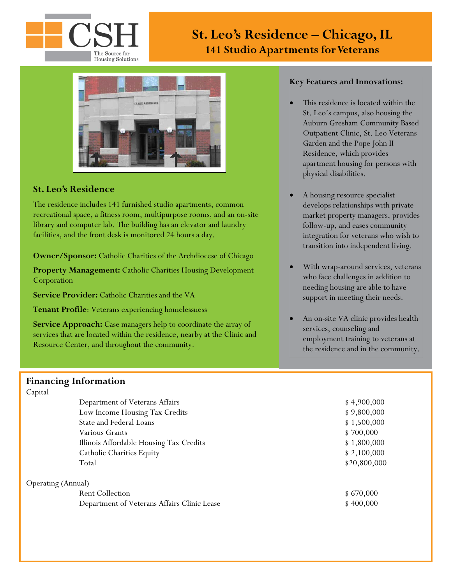

# **St. Leo's Residence – Chicago, IL 141 Studio Apartments for Veterans**



### **St. Leo's Residence**

The residence includes 141 furnished studio apartments, common recreational space, a fitness room, multipurpose rooms, and an on-site library and computer lab. The building has an elevator and laundry facilities, and the front desk is monitored 24 hours a day.

**Owner/Sponsor:** Catholic Charities of the Archdiocese of Chicago

**Property Management:** Catholic Charities Housing Development Corporation

**Service Provider:** Catholic Charities and the VA

**Tenant Profile**: Veterans experiencing homelessness

**Service Approach:** Case managers help to coordinate the array of services that are located within the residence, nearby at the Clinic and Resource Center, and throughout the community.

### **Financing Information**

#### Capital

Department of Veterans Affairs Low Income Housing Tax Credits State and Federal Loans Various Grants Illinois Affordable Housing Tax Credits Catholic Charities Equity Total \$20,800,000 \$20,800,000

Operating (Annual)

Rent Collection  $$670,000$ Department of Veterans Affairs Clinic Lease \$ 400,000

#### **Key Features and Innovations:**

- This residence is located within the St. Leo's campus, also housing the Auburn Gresham Community Based Outpatient Clinic, St. Leo Veterans Garden and the Pope John II Residence, which provides apartment housing for persons with physical disabilities.
- A housing resource specialist develops relationships with private market property managers, provides follow-up, and eases community integration for veterans who wish to transition into independent living.
- With wrap-around services, veterans who face challenges in addition to needing housing are able to have support in meeting their needs.
- An on-site VA clinic provides health services, counseling and employment training to veterans at the residence and in the community.

| \$4,900,000  |
|--------------|
| \$9,800,000  |
| \$1,500,000  |
| \$700,000    |
| \$1,800,000  |
| \$2,100,000  |
| \$20,800,000 |